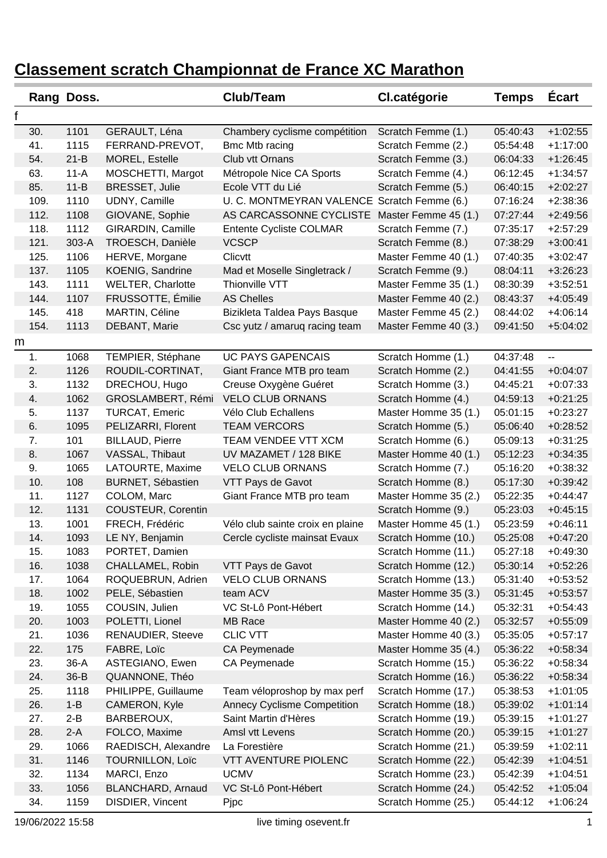|   |      | Rang Doss. |                           | Club/Team                                   | <b>Cl.catégorie</b>  | <b>Temps</b> | <b>Ecart</b>             |
|---|------|------------|---------------------------|---------------------------------------------|----------------------|--------------|--------------------------|
| f |      |            |                           |                                             |                      |              |                          |
|   | 30.  | 1101       | GERAULT, Léna             | Chambery cyclisme compétition               | Scratch Femme (1.)   | 05:40:43     | $+1:02:55$               |
|   | 41.  | 1115       | FERRAND-PREVOT,           | Bmc Mtb racing                              | Scratch Femme (2.)   | 05:54:48     | $+1:17:00$               |
|   | 54.  | $21 - B$   | MOREL, Estelle            | Club vtt Ornans                             | Scratch Femme (3.)   | 06:04:33     | $+1:26:45$               |
|   | 63.  | $11-A$     | MOSCHETTI, Margot         | Métropole Nice CA Sports                    | Scratch Femme (4.)   | 06:12:45     | $+1:34:57$               |
|   | 85.  | $11 - B$   | <b>BRESSET, Julie</b>     | Ecole VTT du Lié                            | Scratch Femme (5.)   | 06:40:15     | $+2:02:27$               |
|   | 109. | 1110       | UDNY, Camille             | U. C. MONTMEYRAN VALENCE Scratch Femme (6.) |                      | 07:16:24     | $+2:38:36$               |
|   | 112. | 1108       | GIOVANE, Sophie           | AS CARCASSONNE CYCLISTE                     | Master Femme 45 (1.) | 07:27:44     | $+2:49:56$               |
|   | 118. | 1112       | GIRARDIN, Camille         | Entente Cycliste COLMAR                     | Scratch Femme (7.)   | 07:35:17     | $+2:57:29$               |
|   | 121. | 303-A      | TROESCH, Danièle          | <b>VCSCP</b>                                | Scratch Femme (8.)   | 07:38:29     | $+3:00:41$               |
|   | 125. | 1106       | HERVE, Morgane            | Clicvtt                                     | Master Femme 40 (1.) | 07:40:35     | $+3:02:47$               |
|   | 137. | 1105       | KOENIG, Sandrine          | Mad et Moselle Singletrack /                | Scratch Femme (9.)   | 08:04:11     | $+3:26:23$               |
|   | 143. | 1111       | <b>WELTER, Charlotte</b>  | Thionville VTT                              | Master Femme 35 (1.) | 08:30:39     | $+3:52:51$               |
|   | 144. | 1107       | FRUSSOTTE, Émilie         | <b>AS Chelles</b>                           | Master Femme 40 (2.) | 08:43:37     | $+4:05:49$               |
|   | 145. | 418        | MARTIN, Céline            | Bizikleta Taldea Pays Basque                | Master Femme 45 (2.) | 08:44:02     | $+4:06:14$               |
|   | 154. | 1113       | DEBANT, Marie             | Csc yutz / amaruq racing team               | Master Femme 40 (3.) | 09:41:50     | $+5:04:02$               |
| m |      |            |                           |                                             |                      |              |                          |
|   | 1.   | 1068       | TEMPIER, Stéphane         | <b>UC PAYS GAPENCAIS</b>                    | Scratch Homme (1.)   | 04:37:48     | $\overline{\phantom{a}}$ |
|   | 2.   | 1126       | ROUDIL-CORTINAT,          | Giant France MTB pro team                   | Scratch Homme (2.)   | 04:41:55     | $+0:04:07$               |
|   | 3.   | 1132       | DRECHOU, Hugo             | Creuse Oxygène Guéret                       | Scratch Homme (3.)   | 04:45:21     | $+0:07:33$               |
|   | 4.   | 1062       | GROSLAMBERT, Rémi         | <b>VELO CLUB ORNANS</b>                     | Scratch Homme (4.)   | 04:59:13     | $+0:21:25$               |
|   | 5.   | 1137       | <b>TURCAT, Emeric</b>     | Vélo Club Echallens                         | Master Homme 35 (1.) | 05:01:15     | $+0:23:27$               |
|   | 6.   | 1095       | PELIZARRI, Florent        | <b>TEAM VERCORS</b>                         | Scratch Homme (5.)   | 05:06:40     | $+0:28:52$               |
|   | 7.   | 101        | <b>BILLAUD, Pierre</b>    | TEAM VENDEE VTT XCM                         | Scratch Homme (6.)   | 05:09:13     | $+0:31:25$               |
|   | 8.   | 1067       | VASSAL, Thibaut           | UV MAZAMET / 128 BIKE                       | Master Homme 40 (1.) | 05:12:23     | $+0:34:35$               |
|   | 9.   | 1065       | LATOURTE, Maxime          | <b>VELO CLUB ORNANS</b>                     | Scratch Homme (7.)   | 05:16:20     | $+0:38:32$               |
|   | 10.  | 108        | <b>BURNET, Sébastien</b>  | VTT Pays de Gavot                           | Scratch Homme (8.)   | 05:17:30     | $+0:39:42$               |
|   | 11.  | 1127       | COLOM, Marc               | Giant France MTB pro team                   | Master Homme 35 (2.) | 05:22:35     | $+0:44:47$               |
|   | 12.  | 1131       | <b>COUSTEUR, Corentin</b> |                                             | Scratch Homme (9.)   | 05:23:03     | $+0:45:15$               |
|   | 13.  | 1001       | FRECH, Frédéric           | Vélo club sainte croix en plaine            | Master Homme 45 (1.) | 05:23:59     | $+0:46:11$               |
|   | 14.  | 1093       | LE NY, Benjamin           | Cercle cycliste mainsat Evaux               | Scratch Homme (10.)  | 05:25:08     | $+0:47:20$               |
|   | 15.  | 1083       | PORTET, Damien            |                                             | Scratch Homme (11.)  | 05:27:18     | $+0:49:30$               |
|   | 16.  | 1038       | CHALLAMEL, Robin          | VTT Pays de Gavot                           | Scratch Homme (12.)  | 05:30:14     | $+0:52:26$               |
|   | 17.  | 1064       | ROQUEBRUN, Adrien         | <b>VELO CLUB ORNANS</b>                     | Scratch Homme (13.)  | 05:31:40     | $+0.53:52$               |
|   | 18.  | 1002       | PELE, Sébastien           | team ACV                                    | Master Homme 35 (3.) | 05:31:45     | $+0.53:57$               |
|   | 19.  | 1055       | COUSIN, Julien            | VC St-Lô Pont-Hébert                        | Scratch Homme (14.)  | 05:32:31     | $+0.54:43$               |
|   | 20.  | 1003       | POLETTI, Lionel           | MB Race                                     | Master Homme 40 (2.) | 05:32:57     | $+0.55:09$               |
|   | 21.  | 1036       | <b>RENAUDIER, Steeve</b>  | <b>CLIC VTT</b>                             | Master Homme 40 (3.) | 05:35:05     | $+0:57:17$               |
|   | 22.  | 175        | FABRE, Loïc               | CA Peymenade                                | Master Homme 35 (4.) | 05:36:22     | $+0:58:34$               |
|   | 23.  | $36-A$     | ASTEGIANO, Ewen           | CA Peymenade                                | Scratch Homme (15.)  | 05:36:22     | $+0.58:34$               |
|   | 24.  | $36 - B$   | QUANNONE, Théo            |                                             | Scratch Homme (16.)  | 05:36:22     | $+0.58.34$               |
|   | 25.  | 1118       | PHILIPPE, Guillaume       | Team véloproshop by max perf                | Scratch Homme (17.)  | 05:38:53     | $+1:01:05$               |
|   | 26.  | $1 - B$    | CAMERON, Kyle             | <b>Annecy Cyclisme Competition</b>          | Scratch Homme (18.)  | 05:39:02     | $+1:01:14$               |
|   | 27.  | $2 - B$    | BARBEROUX,                | Saint Martin d'Hères                        | Scratch Homme (19.)  | 05:39:15     | $+1:01:27$               |
|   | 28.  | $2-A$      | FOLCO, Maxime             | Amsl vtt Levens                             | Scratch Homme (20.)  | 05:39:15     | $+1:01:27$               |
|   | 29.  | 1066       | RAEDISCH, Alexandre       | La Forestière                               | Scratch Homme (21.)  | 05:39:59     | $+1:02:11$               |
|   | 31.  | 1146       | <b>TOURNILLON, Loïc</b>   | <b>VTT AVENTURE PIOLENC</b>                 | Scratch Homme (22.)  | 05:42:39     | $+1:04:51$               |
|   | 32.  | 1134       | MARCI, Enzo               | <b>UCMV</b>                                 | Scratch Homme (23.)  | 05:42:39     | $+1:04:51$               |
|   | 33.  | 1056       | BLANCHARD, Arnaud         | VC St-Lô Pont-Hébert                        | Scratch Homme (24.)  | 05:42:52     | $+1:05:04$               |
|   | 34.  | 1159       | DISDIER, Vincent          | Pjpc                                        | Scratch Homme (25.)  | 05:44:12     | $+1:06:24$               |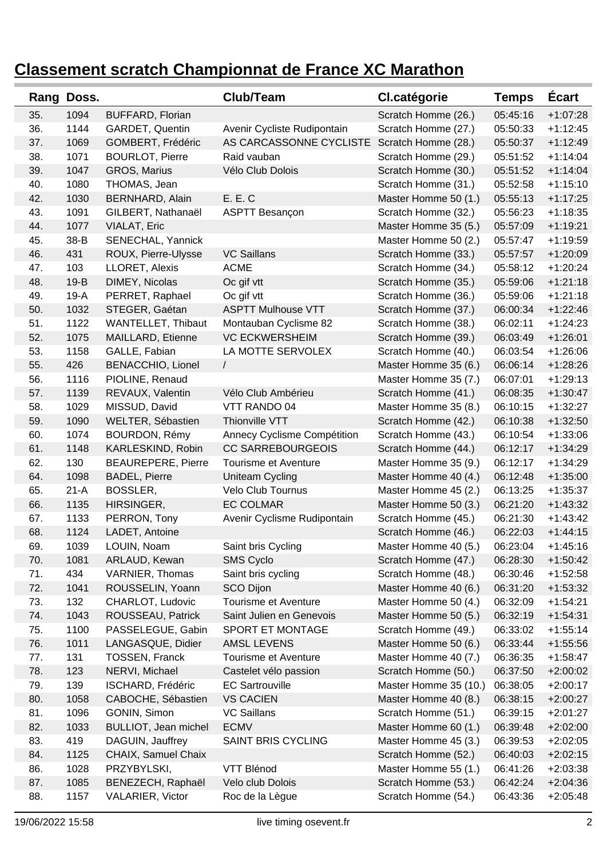| Rang | Doss.  |                           | Club/Team                   | <b>Cl.catégorie</b>   | <b>Temps</b> | <b>Ecart</b> |
|------|--------|---------------------------|-----------------------------|-----------------------|--------------|--------------|
| 35.  | 1094   | <b>BUFFARD, Florian</b>   |                             | Scratch Homme (26.)   | 05:45:16     | $+1:07:28$   |
| 36.  | 1144   | GARDET, Quentin           | Avenir Cycliste Rudipontain | Scratch Homme (27.)   | 05:50:33     | $+1:12:45$   |
| 37.  | 1069   | GOMBERT, Frédéric         | AS CARCASSONNE CYCLISTE     | Scratch Homme (28.)   | 05:50:37     | $+1:12:49$   |
| 38.  | 1071   | <b>BOURLOT, Pierre</b>    | Raid vauban                 | Scratch Homme (29.)   | 05:51:52     | $+1:14:04$   |
| 39.  | 1047   | GROS, Marius              | Vélo Club Dolois            | Scratch Homme (30.)   | 05:51:52     | $+1:14:04$   |
| 40.  | 1080   | THOMAS, Jean              |                             | Scratch Homme (31.)   | 05:52:58     | $+1:15:10$   |
| 42.  | 1030   | <b>BERNHARD, Alain</b>    | E. E. C                     | Master Homme 50 (1.)  | 05:55:13     | $+1:17:25$   |
| 43.  | 1091   | GILBERT, Nathanaël        | <b>ASPTT Besançon</b>       | Scratch Homme (32.)   | 05:56:23     | $+1:18:35$   |
| 44.  | 1077   | VIALAT, Eric              |                             | Master Homme 35 (5.)  | 05:57:09     | $+1:19:21$   |
| 45.  | 38-B   | SENECHAL, Yannick         |                             | Master Homme 50 (2.)  | 05:57:47     | $+1:19:59$   |
| 46.  | 431    | ROUX, Pierre-Ulysse       | <b>VC Saillans</b>          | Scratch Homme (33.)   | 05:57:57     | $+1:20:09$   |
| 47.  | 103    | LLORET, Alexis            | <b>ACME</b>                 | Scratch Homme (34.)   | 05:58:12     | $+1:20:24$   |
| 48.  | $19-B$ | DIMEY, Nicolas            | Oc gif vtt                  | Scratch Homme (35.)   | 05:59:06     | $+1:21:18$   |
| 49.  | $19-A$ | PERRET, Raphael           | Oc gif vtt                  | Scratch Homme (36.)   | 05:59:06     | $+1:21:18$   |
| 50.  | 1032   | STEGER, Gaétan            | <b>ASPTT Mulhouse VTT</b>   | Scratch Homme (37.)   | 06:00:34     | $+1:22:46$   |
| 51.  | 1122   | WANTELLET, Thibaut        | Montauban Cyclisme 82       | Scratch Homme (38.)   | 06:02:11     | $+1:24:23$   |
| 52.  | 1075   | MAILLARD, Etienne         | <b>VC ECKWERSHEIM</b>       | Scratch Homme (39.)   | 06:03:49     | $+1:26:01$   |
| 53.  | 1158   | GALLE, Fabian             | LA MOTTE SERVOLEX           | Scratch Homme (40.)   | 06:03:54     | $+1:26:06$   |
| 55.  | 426    | <b>BENACCHIO, Lionel</b>  | $\sqrt{2}$                  | Master Homme 35 (6.)  | 06:06:14     | $+1:28:26$   |
| 56.  | 1116   | PIOLINE, Renaud           |                             | Master Homme 35 (7.)  | 06:07:01     | $+1:29:13$   |
| 57.  | 1139   | REVAUX, Valentin          | Vélo Club Ambérieu          | Scratch Homme (41.)   | 06:08:35     | $+1:30:47$   |
| 58.  | 1029   | MISSUD, David             | VTT RANDO 04                | Master Homme 35 (8.)  | 06:10:15     | $+1:32:27$   |
| 59.  | 1090   | WELTER, Sébastien         | Thionville VTT              | Scratch Homme (42.)   | 06:10:38     | $+1:32:50$   |
| 60.  | 1074   | BOURDON, Rémy             | Annecy Cyclisme Compétition | Scratch Homme (43.)   | 06:10:54     | $+1:33:06$   |
| 61.  | 1148   | KARLESKIND, Robin         | <b>CC SARREBOURGEOIS</b>    | Scratch Homme (44.)   | 06:12:17     | $+1:34:29$   |
| 62.  | 130    | <b>BEAUREPERE, Pierre</b> | Tourisme et Aventure        | Master Homme 35 (9.)  | 06:12:17     | $+1:34:29$   |
| 64.  | 1098   | <b>BADEL, Pierre</b>      | Uniteam Cycling             | Master Homme 40 (4.)  | 06:12:48     | $+1:35:00$   |
| 65.  | $21-A$ | BOSSLER,                  | Velo Club Tournus           | Master Homme 45 (2.)  | 06:13:25     | $+1:35:37$   |
| 66.  | 1135   | HIRSINGER,                | <b>EC COLMAR</b>            | Master Homme 50 (3.)  | 06:21:20     | $+1:43:32$   |
| 67.  | 1133   | PERRON, Tony              | Avenir Cyclisme Rudipontain | Scratch Homme (45.)   | 06:21:30     | $+1:43:42$   |
| 68.  | 1124   | LADET, Antoine            |                             | Scratch Homme (46.)   | 06:22:03     | $+1:44:15$   |
| 69.  | 1039   | LOUIN, Noam               | Saint bris Cycling          | Master Homme 40 (5.)  | 06:23:04     | $+1:45:16$   |
| 70.  | 1081   | ARLAUD, Kewan             | SMS Cyclo                   | Scratch Homme (47.)   | 06:28:30     | $+1:50:42$   |
| 71.  | 434    | VARNIER, Thomas           | Saint bris cycling          | Scratch Homme (48.)   | 06:30:46     | $+1:52:58$   |
| 72.  | 1041   | ROUSSELIN, Yoann          | <b>SCO Dijon</b>            | Master Homme 40 (6.)  | 06:31:20     | $+1:53:32$   |
| 73.  | 132    | CHARLOT, Ludovic          | Tourisme et Aventure        | Master Homme 50 (4.)  | 06:32:09     | $+1:54:21$   |
| 74.  | 1043   | ROUSSEAU, Patrick         | Saint Julien en Genevois    | Master Homme 50 (5.)  | 06:32:19     | $+1:54:31$   |
| 75.  | 1100   | PASSELEGUE, Gabin         | SPORT ET MONTAGE            | Scratch Homme (49.)   | 06:33:02     | $+1:55:14$   |
| 76.  | 1011   | LANGASQUE, Didier         | AMSL LEVENS                 | Master Homme 50 (6.)  | 06:33:44     | $+1:55:56$   |
| 77.  | 131    | <b>TOSSEN, Franck</b>     | Tourisme et Aventure        | Master Homme 40 (7.)  | 06:36:35     | $+1:58:47$   |
| 78.  | 123    | NERVI, Michael            | Castelet vélo passion       | Scratch Homme (50.)   | 06:37:50     | $+2:00:02$   |
| 79.  | 139    | ISCHARD, Frédéric         | <b>EC Sartrouville</b>      | Master Homme 35 (10.) | 06:38:05     | $+2:00:17$   |
| 80.  | 1058   | CABOCHE, Sébastien        | <b>VS CACIEN</b>            | Master Homme 40 (8.)  | 06:38:15     | $+2:00:27$   |
| 81.  | 1096   | GONIN, Simon              | <b>VC Saillans</b>          | Scratch Homme (51.)   | 06:39:15     | $+2:01:27$   |
| 82.  | 1033   | BULLIOT, Jean michel      | <b>ECMV</b>                 | Master Homme 60 (1.)  | 06:39:48     | $+2:02:00$   |
| 83.  | 419    | DAGUIN, Jauffrey          | <b>SAINT BRIS CYCLING</b>   | Master Homme 45 (3.)  | 06:39:53     | $+2:02:05$   |
| 84.  | 1125   | CHAIX, Samuel Chaix       |                             | Scratch Homme (52.)   | 06:40:03     | $+2:02:15$   |
| 86.  | 1028   | PRZYBYLSKI,               | VTT Blénod                  | Master Homme 55 (1.)  | 06:41:26     | $+2:03:38$   |
| 87.  | 1085   | BENEZECH, Raphaël         | Velo club Dolois            | Scratch Homme (53.)   | 06:42:24     | $+2:04:36$   |
| 88.  | 1157   | VALARIER, Victor          | Roc de la Lègue             | Scratch Homme (54.)   | 06:43:36     | $+2:05:48$   |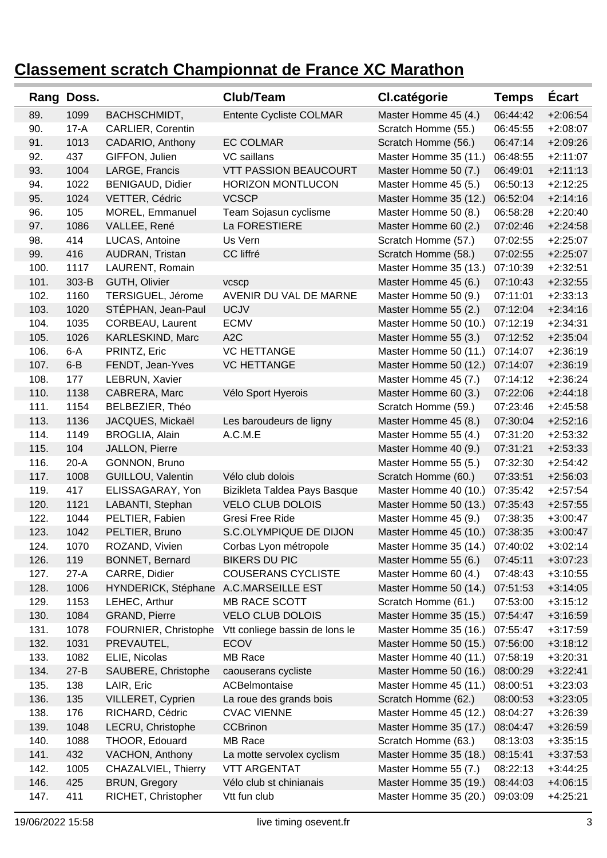| Rang | Doss.    |                          | Club/Team                      | <b>Cl.catégorie</b>   | <b>Temps</b> | <b>Ecart</b> |
|------|----------|--------------------------|--------------------------------|-----------------------|--------------|--------------|
| 89.  | 1099     | BACHSCHMIDT,             | Entente Cycliste COLMAR        | Master Homme 45 (4.)  | 06:44:42     | $+2:06:54$   |
| 90.  | $17-A$   | <b>CARLIER, Corentin</b> |                                | Scratch Homme (55.)   | 06:45:55     | $+2:08:07$   |
| 91.  | 1013     | CADARIO, Anthony         | <b>EC COLMAR</b>               | Scratch Homme (56.)   | 06:47:14     | $+2:09:26$   |
| 92.  | 437      | GIFFON, Julien           | VC saillans                    | Master Homme 35 (11.) | 06:48:55     | $+2:11:07$   |
| 93.  | 1004     | LARGE, Francis           | <b>VTT PASSION BEAUCOURT</b>   | Master Homme 50 (7.)  | 06:49:01     | $+2:11:13$   |
| 94.  | 1022     | <b>BENIGAUD, Didier</b>  | <b>HORIZON MONTLUCON</b>       | Master Homme 45 (5.)  | 06:50:13     | $+2:12:25$   |
| 95.  | 1024     | VETTER, Cédric           | <b>VCSCP</b>                   | Master Homme 35 (12.) | 06:52:04     | $+2:14:16$   |
| 96.  | 105      | MOREL, Emmanuel          | Team Sojasun cyclisme          | Master Homme 50 (8.)  | 06:58:28     | $+2:20:40$   |
| 97.  | 1086     | VALLEE, René             | La FORESTIERE                  | Master Homme 60 (2.)  | 07:02:46     | $+2:24:58$   |
| 98.  | 414      | LUCAS, Antoine           | Us Vern                        | Scratch Homme (57.)   | 07:02:55     | $+2:25:07$   |
| 99.  | 416      | AUDRAN, Tristan          | CC liffré                      | Scratch Homme (58.)   | 07:02:55     | $+2:25:07$   |
| 100. | 1117     | LAURENT, Romain          |                                | Master Homme 35 (13.) | 07:10:39     | $+2:32:51$   |
| 101. | 303-B    | GUTH, Olivier            | vcscp                          | Master Homme 45 (6.)  | 07:10:43     | $+2:32:55$   |
| 102. | 1160     | TERSIGUEL, Jérome        | AVENIR DU VAL DE MARNE         | Master Homme 50 (9.)  | 07:11:01     | $+2:33:13$   |
| 103. | 1020     | STÉPHAN, Jean-Paul       | <b>UCJV</b>                    | Master Homme 55 (2.)  | 07:12:04     | $+2:34:16$   |
| 104. | 1035     | CORBEAU, Laurent         | <b>ECMV</b>                    | Master Homme 50 (10.) | 07:12:19     | $+2:34:31$   |
| 105. | 1026     | KARLESKIND, Marc         | A <sub>2</sub> C               | Master Homme 55 (3.)  | 07:12:52     | $+2:35:04$   |
| 106. | $6-A$    | PRINTZ, Eric             | <b>VC HETTANGE</b>             | Master Homme 50 (11.) | 07:14:07     | $+2:36:19$   |
| 107. | $6 - B$  | FENDT, Jean-Yves         | <b>VC HETTANGE</b>             | Master Homme 50 (12.) | 07:14:07     | $+2:36:19$   |
| 108. | 177      | LEBRUN, Xavier           |                                | Master Homme 45 (7.)  | 07:14:12     | $+2:36:24$   |
| 110. | 1138     | CABRERA, Marc            | Vélo Sport Hyerois             | Master Homme 60 (3.)  | 07:22:06     | $+2:44:18$   |
| 111. | 1154     | BELBEZIER, Théo          |                                | Scratch Homme (59.)   | 07:23:46     | $+2:45:58$   |
| 113. | 1136     | JACQUES, Mickaël         | Les baroudeurs de ligny        | Master Homme 45 (8.)  | 07:30:04     | $+2:52:16$   |
| 114. | 1149     | <b>BROGLIA, Alain</b>    | A.C.M.E                        | Master Homme 55 (4.)  | 07:31:20     | $+2:53:32$   |
| 115. | 104      | JALLON, Pierre           |                                | Master Homme 40 (9.)  | 07:31:21     | $+2:53:33$   |
| 116. | $20-A$   | GONNON, Bruno            |                                | Master Homme 55 (5.)  | 07:32:30     | $+2:54:42$   |
| 117. | 1008     | GUILLOU, Valentin        | Vélo club dolois               | Scratch Homme (60.)   | 07:33:51     | $+2:56:03$   |
| 119. | 417      | ELISSAGARAY, Yon         | Bizikleta Taldea Pays Basque   | Master Homme 40 (10.) | 07:35:42     | $+2:57:54$   |
| 120. | 1121     | LABANTI, Stephan         | <b>VELO CLUB DOLOIS</b>        | Master Homme 50 (13.) | 07:35:43     | $+2:57:55$   |
| 122. | 1044     | PELTIER, Fabien          | Gresi Free Ride                | Master Homme 45 (9.)  | 07:38:35     | $+3:00:47$   |
| 123. | 1042     | PELTIER, Bruno           | S.C.OLYMPIQUE DE DIJON         | Master Homme 45 (10.) | 07:38:35     | $+3:00:47$   |
| 124. | 1070     | ROZAND, Vivien           | Corbas Lyon métropole          | Master Homme 35 (14.) | 07:40:02     | $+3:02:14$   |
| 126. | 119      | <b>BONNET, Bernard</b>   | <b>BIKERS DU PIC</b>           | Master Homme 55 (6.)  | 07:45:11     | $+3:07:23$   |
| 127. | $27-A$   | CARRE, Didier            | <b>COUSERANS CYCLISTE</b>      | Master Homme 60 (4.)  | 07:48:43     | $+3:10:55$   |
| 128. | 1006     | HYNDERICK, Stéphane      | A.C.MARSEILLE EST              | Master Homme 50 (14.) | 07:51:53     | $+3:14:05$   |
| 129. | 1153     | LEHEC, Arthur            | MB RACE SCOTT                  | Scratch Homme (61.)   | 07:53:00     | $+3:15:12$   |
| 130. | 1084     | GRAND, Pierre            | <b>VELO CLUB DOLOIS</b>        | Master Homme 35 (15.) | 07:54:47     | $+3:16:59$   |
| 131. | 1078     | FOURNIER, Christophe     | Vtt conliege bassin de lons le | Master Homme 35 (16.) | 07:55:47     | $+3:17:59$   |
| 132. | 1031     | PREVAUTEL,               | <b>ECOV</b>                    | Master Homme 50 (15.) | 07:56:00     | $+3:18:12$   |
| 133. | 1082     | ELIE, Nicolas            | MB Race                        | Master Homme 40 (11.) | 07:58:19     | $+3:20:31$   |
| 134. | $27 - B$ | SAUBERE, Christophe      | caouserans cycliste            | Master Homme 50 (16.) | 08:00:29     | $+3:22:41$   |
| 135. | 138      | LAIR, Eric               | ACBelmontaise                  | Master Homme 45 (11.) | 08:00:51     | $+3:23:03$   |
| 136. | 135      | VILLERET, Cyprien        | La roue des grands bois        | Scratch Homme (62.)   | 08:00:53     | $+3:23:05$   |
| 138. | 176      | RICHARD, Cédric          | <b>CVAC VIENNE</b>             | Master Homme 45 (12.) | 08:04:27     | $+3:26:39$   |
| 139. | 1048     | LECRU, Christophe        | <b>CCBrinon</b>                | Master Homme 35 (17.) | 08:04:47     | $+3:26:59$   |
| 140. | 1088     | THOOR, Edouard           | MB Race                        | Scratch Homme (63.)   | 08:13:03     | $+3:35:15$   |
| 141. | 432      | VACHON, Anthony          | La motte servolex cyclism      | Master Homme 35 (18.) | 08:15:41     | $+3:37:53$   |
| 142. | 1005     | CHAZALVIEL, Thierry      | <b>VTT ARGENTAT</b>            | Master Homme 55 (7.)  | 08:22:13     | $+3:44:25$   |
| 146. | 425      | <b>BRUN, Gregory</b>     | Vélo club st chinianais        | Master Homme 35 (19.) | 08:44:03     | $+4:06:15$   |
| 147. | 411      | RICHET, Christopher      | Vtt fun club                   | Master Homme 35 (20.) | 09:03:09     | $+4:25:21$   |
|      |          |                          |                                |                       |              |              |